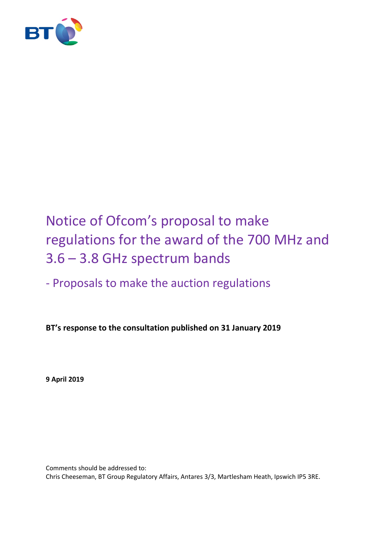

# Notice of Ofcom's proposal to make regulations for the award of the 700 MHz and 3.6 – 3.8 GHz spectrum bands

# - Proposals to make the auction regulations

**BT's response to the consultation published on 31 January 2019**

**9 April 2019**

Comments should be addressed to: Chris Cheeseman, BT Group Regulatory Affairs, Antares 3/3, Martlesham Heath, Ipswich IP5 3RE.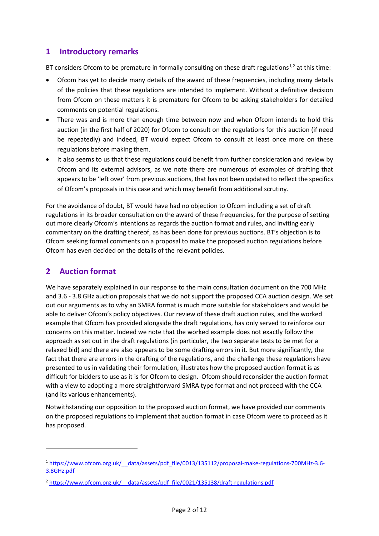### **1 Introductory remarks**

BT considers Ofcom to be premature in formally consulting on these draft regulations<sup>[1](#page-1-0),[2](#page-1-1)</sup> at this time:

- Ofcom has yet to decide many details of the award of these frequencies, including many details of the policies that these regulations are intended to implement. Without a definitive decision from Ofcom on these matters it is premature for Ofcom to be asking stakeholders for detailed comments on potential regulations.
- There was and is more than enough time between now and when Ofcom intends to hold this auction (in the first half of 2020) for Ofcom to consult on the regulations for this auction (if need be repeatedly) and indeed, BT would expect Ofcom to consult at least once more on these regulations before making them.
- It also seems to us that these regulations could benefit from further consideration and review by Ofcom and its external advisors, as we note there are numerous of examples of drafting that appears to be 'left over' from previous auctions, that has not been updated to reflect the specifics of Ofcom's proposals in this case and which may benefit from additional scrutiny.

For the avoidance of doubt, BT would have had no objection to Ofcom including a set of draft regulations in its broader consultation on the award of these frequencies, for the purpose of setting out more clearly Ofcom's intentions as regards the auction format and rules, and inviting early commentary on the drafting thereof, as has been done for previous auctions. BT's objection is to Ofcom seeking formal comments on a proposal to make the proposed auction regulations before Ofcom has even decided on the details of the relevant policies.

## **2 Auction format**

**.** 

We have separately explained in our response to the main consultation document on the 700 MHz and 3.6 - 3.8 GHz auction proposals that we do not support the proposed CCA auction design. We set out our arguments as to why an SMRA format is much more suitable for stakeholders and would be able to deliver Ofcom's policy objectives. Our review of these draft auction rules, and the worked example that Ofcom has provided alongside the draft regulations, has only served to reinforce our concerns on this matter. Indeed we note that the worked example does not exactly follow the approach as set out in the draft regulations (in particular, the two separate tests to be met for a relaxed bid) and there are also appears to be some drafting errors in it. But more significantly, the fact that there are errors in the drafting of the regulations, and the challenge these regulations have presented to us in validating their formulation, illustrates how the proposed auction format is as difficult for bidders to use as it is for Ofcom to design. Ofcom should reconsider the auction format with a view to adopting a more straightforward SMRA type format and not proceed with the CCA (and its various enhancements).

Notwithstanding our opposition to the proposed auction format, we have provided our comments on the proposed regulations to implement that auction format in case Ofcom were to proceed as it has proposed.

<span id="page-1-0"></span><sup>&</sup>lt;sup>1</sup> https://www.ofcom.org.uk/ data/assets/pdf file/0013/135112/proposal-make-regulations-700MHz-3.6-[3.8GHz.pdf](https://www.ofcom.org.uk/__data/assets/pdf_file/0013/135112/proposal-make-regulations-700MHz-3.6-3.8GHz.pdf)

<span id="page-1-1"></span><sup>&</sup>lt;sup>2</sup> https://www.ofcom.org.uk/ data/assets/pdf file/0021/135138/draft-regulations.pdf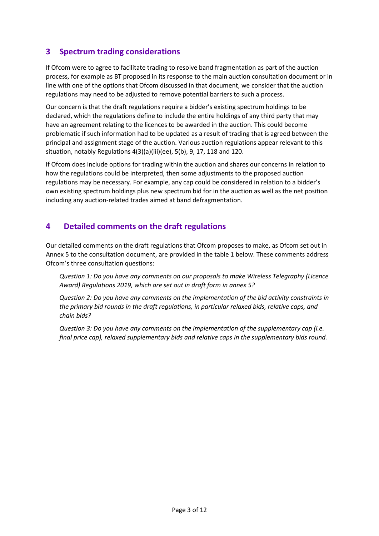## **3 Spectrum trading considerations**

If Ofcom were to agree to facilitate trading to resolve band fragmentation as part of the auction process, for example as BT proposed in its response to the main auction consultation document or in line with one of the options that Ofcom discussed in that document, we consider that the auction regulations may need to be adjusted to remove potential barriers to such a process.

Our concern is that the draft regulations require a bidder's existing spectrum holdings to be declared, which the regulations define to include the entire holdings of any third party that may have an agreement relating to the licences to be awarded in the auction. This could become problematic if such information had to be updated as a result of trading that is agreed between the principal and assignment stage of the auction. Various auction regulations appear relevant to this situation, notably Regulations 4(3)(a)(iii)(ee), 5(b), 9, 17, 118 and 120.

If Ofcom does include options for trading within the auction and shares our concerns in relation to how the regulations could be interpreted, then some adjustments to the proposed auction regulations may be necessary. For example, any cap could be considered in relation to a bidder's own existing spectrum holdings plus new spectrum bid for in the auction as well as the net position including any auction-related trades aimed at band defragmentation.

#### **4 Detailed comments on the draft regulations**

Our detailed comments on the draft regulations that Ofcom proposes to make, as Ofcom set out in Annex 5 to the consultation document, are provided in the table 1 below. These comments address Ofcom's three consultation questions:

*Question 1: Do you have any comments on our proposals to make Wireless Telegraphy (Licence Award) Regulations 2019, which are set out in draft form in annex 5?*

*Question 2: Do you have any comments on the implementation of the bid activity constraints in the primary bid rounds in the draft regulations, in particular relaxed bids, relative caps, and chain bids?*

*Question 3: Do you have any comments on the implementation of the supplementary cap (i.e. final price cap), relaxed supplementary bids and relative caps in the supplementary bids round.*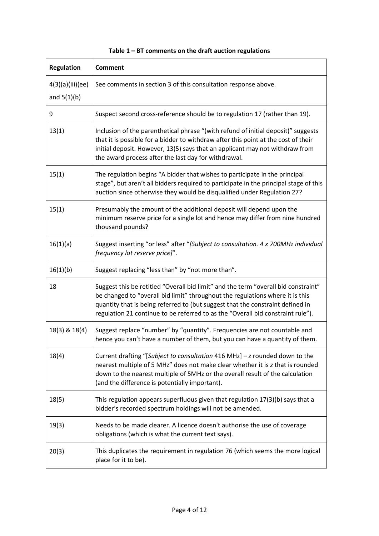| <b>Regulation</b>                 | <b>Comment</b>                                                                                                                                                                                                                                                                                                                           |
|-----------------------------------|------------------------------------------------------------------------------------------------------------------------------------------------------------------------------------------------------------------------------------------------------------------------------------------------------------------------------------------|
| 4(3)(a)(iii)(ee)<br>and $5(1)(b)$ | See comments in section 3 of this consultation response above.                                                                                                                                                                                                                                                                           |
| 9                                 | Suspect second cross-reference should be to regulation 17 (rather than 19).                                                                                                                                                                                                                                                              |
| 13(1)                             | Inclusion of the parenthetical phrase "(with refund of initial deposit)" suggests<br>that it is possible for a bidder to withdraw after this point at the cost of their<br>initial deposit. However, 13(5) says that an applicant may not withdraw from<br>the award process after the last day for withdrawal.                          |
| 15(1)                             | The regulation begins "A bidder that wishes to participate in the principal<br>stage", but aren't all bidders required to participate in the principal stage of this<br>auction since otherwise they would be disqualified under Regulation 27?                                                                                          |
| 15(1)                             | Presumably the amount of the additional deposit will depend upon the<br>minimum reserve price for a single lot and hence may differ from nine hundred<br>thousand pounds?                                                                                                                                                                |
| 16(1)(a)                          | Suggest inserting "or less" after "[Subject to consultation. 4 x 700MHz individual<br>frequency lot reserve price]".                                                                                                                                                                                                                     |
| 16(1)(b)                          | Suggest replacing "less than" by "not more than".                                                                                                                                                                                                                                                                                        |
| 18                                | Suggest this be retitled "Overall bid limit" and the term "overall bid constraint"<br>be changed to "overall bid limit" throughout the regulations where it is this<br>quantity that is being referred to (but suggest that the constraint defined in<br>regulation 21 continue to be referred to as the "Overall bid constraint rule"). |
| 18(3) & 18(4)                     | Suggest replace "number" by "quantity". Frequencies are not countable and<br>hence you can't have a number of them, but you can have a quantity of them.                                                                                                                                                                                 |
| 18(4)                             | Current drafting "[Subject to consultation 416 MHz] - z rounded down to the<br>nearest multiple of 5 MHz" does not make clear whether it is z that is rounded<br>down to the nearest multiple of 5MHz or the overall result of the calculation<br>(and the difference is potentially important).                                         |
| 18(5)                             | This regulation appears superfluous given that regulation 17(3)(b) says that a<br>bidder's recorded spectrum holdings will not be amended.                                                                                                                                                                                               |
| 19(3)                             | Needs to be made clearer. A licence doesn't authorise the use of coverage<br>obligations (which is what the current text says).                                                                                                                                                                                                          |
| 20(3)                             | This duplicates the requirement in regulation 76 (which seems the more logical<br>place for it to be).                                                                                                                                                                                                                                   |

#### **Table 1 – BT comments on the draft auction regulations**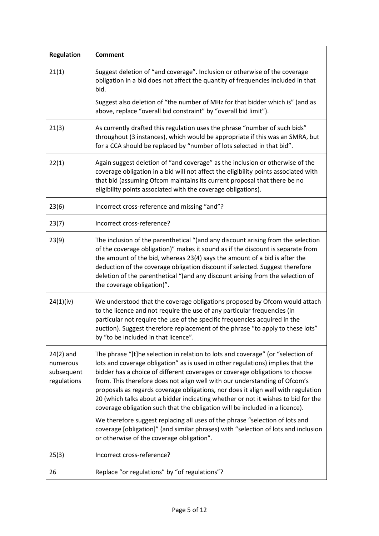| <b>Regulation</b>                                    | <b>Comment</b>                                                                                                                                                                                                                                                                                                                                                                                                                                                                                                                                                                             |
|------------------------------------------------------|--------------------------------------------------------------------------------------------------------------------------------------------------------------------------------------------------------------------------------------------------------------------------------------------------------------------------------------------------------------------------------------------------------------------------------------------------------------------------------------------------------------------------------------------------------------------------------------------|
| 21(1)                                                | Suggest deletion of "and coverage". Inclusion or otherwise of the coverage<br>obligation in a bid does not affect the quantity of frequencies included in that<br>bid.                                                                                                                                                                                                                                                                                                                                                                                                                     |
|                                                      | Suggest also deletion of "the number of MHz for that bidder which is" (and as<br>above, replace "overall bid constraint" by "overall bid limit").                                                                                                                                                                                                                                                                                                                                                                                                                                          |
| 21(3)                                                | As currently drafted this regulation uses the phrase "number of such bids"<br>throughout (3 instances), which would be appropriate if this was an SMRA, but<br>for a CCA should be replaced by "number of lots selected in that bid".                                                                                                                                                                                                                                                                                                                                                      |
| 22(1)                                                | Again suggest deletion of "and coverage" as the inclusion or otherwise of the<br>coverage obligation in a bid will not affect the eligibility points associated with<br>that bid (assuming Ofcom maintains its current proposal that there be no<br>eligibility points associated with the coverage obligations).                                                                                                                                                                                                                                                                          |
| 23(6)                                                | Incorrect cross-reference and missing "and"?                                                                                                                                                                                                                                                                                                                                                                                                                                                                                                                                               |
| 23(7)                                                | Incorrect cross-reference?                                                                                                                                                                                                                                                                                                                                                                                                                                                                                                                                                                 |
| 23(9)                                                | The inclusion of the parenthetical "(and any discount arising from the selection<br>of the coverage obligation)" makes it sound as if the discount is separate from<br>the amount of the bid, whereas 23(4) says the amount of a bid is after the<br>deduction of the coverage obligation discount if selected. Suggest therefore<br>deletion of the parenthetical "(and any discount arising from the selection of<br>the coverage obligation)".                                                                                                                                          |
| 24(1)(iv)                                            | We understood that the coverage obligations proposed by Ofcom would attach<br>to the licence and not require the use of any particular frequencies (in<br>particular not require the use of the specific frequencies acquired in the<br>auction). Suggest therefore replacement of the phrase "to apply to these lots"<br>by "to be included in that licence".                                                                                                                                                                                                                             |
| $24(2)$ and<br>numerous<br>subsequent<br>regulations | The phrase "[t]he selection in relation to lots and coverage" (or "selection of<br>lots and coverage obligation" as is used in other regulations) implies that the<br>bidder has a choice of different coverages or coverage obligations to choose<br>from. This therefore does not align well with our understanding of Ofcom's<br>proposals as regards coverage obligations, nor does it align well with regulation<br>20 (which talks about a bidder indicating whether or not it wishes to bid for the<br>coverage obligation such that the obligation will be included in a licence). |
|                                                      | We therefore suggest replacing all uses of the phrase "selection of lots and<br>coverage [obligation]" (and similar phrases) with "selection of lots and inclusion<br>or otherwise of the coverage obligation".                                                                                                                                                                                                                                                                                                                                                                            |
| 25(3)                                                | Incorrect cross-reference?                                                                                                                                                                                                                                                                                                                                                                                                                                                                                                                                                                 |
| 26                                                   | Replace "or regulations" by "of regulations"?                                                                                                                                                                                                                                                                                                                                                                                                                                                                                                                                              |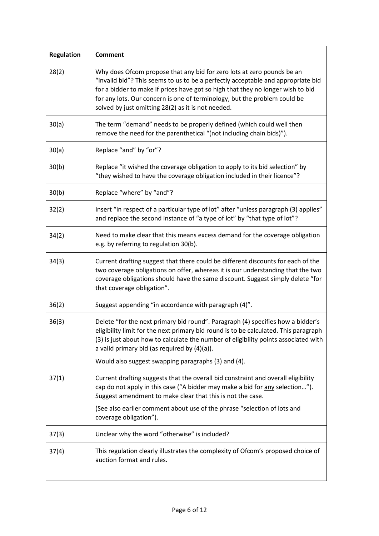| <b>Regulation</b> | Comment                                                                                                                                                                                                                                                                                                                                                                          |
|-------------------|----------------------------------------------------------------------------------------------------------------------------------------------------------------------------------------------------------------------------------------------------------------------------------------------------------------------------------------------------------------------------------|
| 28(2)             | Why does Ofcom propose that any bid for zero lots at zero pounds be an<br>"invalid bid"? This seems to us to be a perfectly acceptable and appropriate bid<br>for a bidder to make if prices have got so high that they no longer wish to bid<br>for any lots. Our concern is one of terminology, but the problem could be<br>solved by just omitting 28(2) as it is not needed. |
| 30(a)             | The term "demand" needs to be properly defined (which could well then<br>remove the need for the parenthetical "(not including chain bids)").                                                                                                                                                                                                                                    |
| 30(a)             | Replace "and" by "or"?                                                                                                                                                                                                                                                                                                                                                           |
| 30(b)             | Replace "it wished the coverage obligation to apply to its bid selection" by<br>"they wished to have the coverage obligation included in their licence"?                                                                                                                                                                                                                         |
| 30(b)             | Replace "where" by "and"?                                                                                                                                                                                                                                                                                                                                                        |
| 32(2)             | Insert "in respect of a particular type of lot" after "unless paragraph (3) applies"<br>and replace the second instance of "a type of lot" by "that type of lot"?                                                                                                                                                                                                                |
| 34(2)             | Need to make clear that this means excess demand for the coverage obligation<br>e.g. by referring to regulation 30(b).                                                                                                                                                                                                                                                           |
| 34(3)             | Current drafting suggest that there could be different discounts for each of the<br>two coverage obligations on offer, whereas it is our understanding that the two<br>coverage obligations should have the same discount. Suggest simply delete "for<br>that coverage obligation".                                                                                              |
| 36(2)             | Suggest appending "in accordance with paragraph (4)".                                                                                                                                                                                                                                                                                                                            |
| 36(3)             | Delete "for the next primary bid round". Paragraph (4) specifies how a bidder's<br>eligibility limit for the next primary bid round is to be calculated. This paragraph<br>(3) is just about how to calculate the number of eligibility points associated with<br>a valid primary bid (as required by $(4)(a)$ ).                                                                |
|                   | Would also suggest swapping paragraphs (3) and (4).                                                                                                                                                                                                                                                                                                                              |
| 37(1)             | Current drafting suggests that the overall bid constraint and overall eligibility<br>cap do not apply in this case ("A bidder may make a bid for any selection").<br>Suggest amendment to make clear that this is not the case.                                                                                                                                                  |
|                   | (See also earlier comment about use of the phrase "selection of lots and<br>coverage obligation").                                                                                                                                                                                                                                                                               |
| 37(3)             | Unclear why the word "otherwise" is included?                                                                                                                                                                                                                                                                                                                                    |
| 37(4)             | This regulation clearly illustrates the complexity of Ofcom's proposed choice of<br>auction format and rules.                                                                                                                                                                                                                                                                    |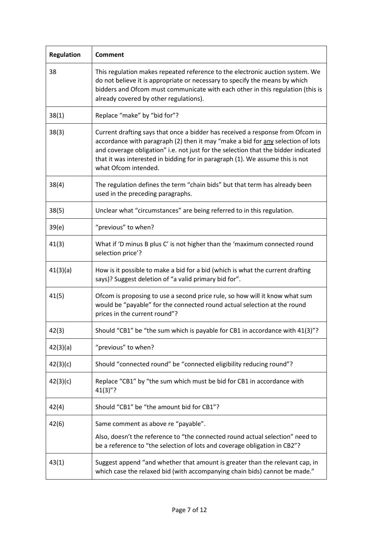| <b>Regulation</b> | <b>Comment</b>                                                                                                                                                                                                                                                                                                                                                   |
|-------------------|------------------------------------------------------------------------------------------------------------------------------------------------------------------------------------------------------------------------------------------------------------------------------------------------------------------------------------------------------------------|
| 38                | This regulation makes repeated reference to the electronic auction system. We<br>do not believe it is appropriate or necessary to specify the means by which<br>bidders and Ofcom must communicate with each other in this regulation (this is<br>already covered by other regulations).                                                                         |
| 38(1)             | Replace "make" by "bid for"?                                                                                                                                                                                                                                                                                                                                     |
| 38(3)             | Current drafting says that once a bidder has received a response from Ofcom in<br>accordance with paragraph (2) then it may "make a bid for any selection of lots<br>and coverage obligation" i.e. not just for the selection that the bidder indicated<br>that it was interested in bidding for in paragraph (1). We assume this is not<br>what Ofcom intended. |
| 38(4)             | The regulation defines the term "chain bids" but that term has already been<br>used in the preceding paragraphs.                                                                                                                                                                                                                                                 |
| 38(5)             | Unclear what "circumstances" are being referred to in this regulation.                                                                                                                                                                                                                                                                                           |
| 39(e)             | "previous" to when?                                                                                                                                                                                                                                                                                                                                              |
| 41(3)             | What if 'D minus B plus C' is not higher than the 'maximum connected round<br>selection price'?                                                                                                                                                                                                                                                                  |
| 41(3)(a)          | How is it possible to make a bid for a bid (which is what the current drafting<br>says)? Suggest deletion of "a valid primary bid for".                                                                                                                                                                                                                          |
| 41(5)             | Ofcom is proposing to use a second price rule, so how will it know what sum<br>would be "payable" for the connected round actual selection at the round<br>prices in the current round"?                                                                                                                                                                         |
| 42(3)             | Should "CB1" be "the sum which is payable for CB1 in accordance with 41(3)"?                                                                                                                                                                                                                                                                                     |
| 42(3)(a)          | "previous" to when?                                                                                                                                                                                                                                                                                                                                              |
| 42(3)(c)          | Should "connected round" be "connected eligibility reducing round"?                                                                                                                                                                                                                                                                                              |
| 42(3)(c)          | Replace "CB1" by "the sum which must be bid for CB1 in accordance with<br>$41(3)$ "?                                                                                                                                                                                                                                                                             |
| 42(4)             | Should "CB1" be "the amount bid for CB1"?                                                                                                                                                                                                                                                                                                                        |
| 42(6)             | Same comment as above re "payable".                                                                                                                                                                                                                                                                                                                              |
|                   | Also, doesn't the reference to "the connected round actual selection" need to<br>be a reference to "the selection of lots and coverage obligation in CB2"?                                                                                                                                                                                                       |
| 43(1)             | Suggest append "and whether that amount is greater than the relevant cap, in<br>which case the relaxed bid (with accompanying chain bids) cannot be made."                                                                                                                                                                                                       |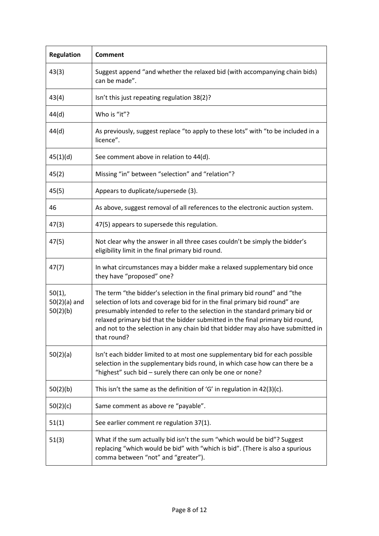| <b>Regulation</b>                       | Comment                                                                                                                                                                                                                                                                                                                                                                                                                     |
|-----------------------------------------|-----------------------------------------------------------------------------------------------------------------------------------------------------------------------------------------------------------------------------------------------------------------------------------------------------------------------------------------------------------------------------------------------------------------------------|
| 43(3)                                   | Suggest append "and whether the relaxed bid (with accompanying chain bids)<br>can be made".                                                                                                                                                                                                                                                                                                                                 |
| 43(4)                                   | Isn't this just repeating regulation 38(2)?                                                                                                                                                                                                                                                                                                                                                                                 |
| 44(d)                                   | Who is "it"?                                                                                                                                                                                                                                                                                                                                                                                                                |
| 44(d)                                   | As previously, suggest replace "to apply to these lots" with "to be included in a<br>licence".                                                                                                                                                                                                                                                                                                                              |
| 45(1)(d)                                | See comment above in relation to 44(d).                                                                                                                                                                                                                                                                                                                                                                                     |
| 45(2)                                   | Missing "in" between "selection" and "relation"?                                                                                                                                                                                                                                                                                                                                                                            |
| 45(5)                                   | Appears to duplicate/supersede (3).                                                                                                                                                                                                                                                                                                                                                                                         |
| 46                                      | As above, suggest removal of all references to the electronic auction system.                                                                                                                                                                                                                                                                                                                                               |
| 47(3)                                   | 47(5) appears to supersede this regulation.                                                                                                                                                                                                                                                                                                                                                                                 |
| 47(5)                                   | Not clear why the answer in all three cases couldn't be simply the bidder's<br>eligibility limit in the final primary bid round.                                                                                                                                                                                                                                                                                            |
| 47(7)                                   | In what circumstances may a bidder make a relaxed supplementary bid once<br>they have "proposed" one?                                                                                                                                                                                                                                                                                                                       |
| $50(1)$ ,<br>$50(2)(a)$ and<br>50(2)(b) | The term "the bidder's selection in the final primary bid round" and "the<br>selection of lots and coverage bid for in the final primary bid round" are<br>presumably intended to refer to the selection in the standard primary bid or<br>relaxed primary bid that the bidder submitted in the final primary bid round,<br>and not to the selection in any chain bid that bidder may also have submitted in<br>that round? |
| 50(2)(a)                                | Isn't each bidder limited to at most one supplementary bid for each possible<br>selection in the supplementary bids round, in which case how can there be a<br>"highest" such bid - surely there can only be one or none?                                                                                                                                                                                                   |
| 50(2)(b)                                | This isn't the same as the definition of 'G' in regulation in $42(3)(c)$ .                                                                                                                                                                                                                                                                                                                                                  |
| 50(2)(c)                                | Same comment as above re "payable".                                                                                                                                                                                                                                                                                                                                                                                         |
| 51(1)                                   | See earlier comment re regulation 37(1).                                                                                                                                                                                                                                                                                                                                                                                    |
| 51(3)                                   | What if the sum actually bid isn't the sum "which would be bid"? Suggest<br>replacing "which would be bid" with "which is bid". (There is also a spurious<br>comma between "not" and "greater").                                                                                                                                                                                                                            |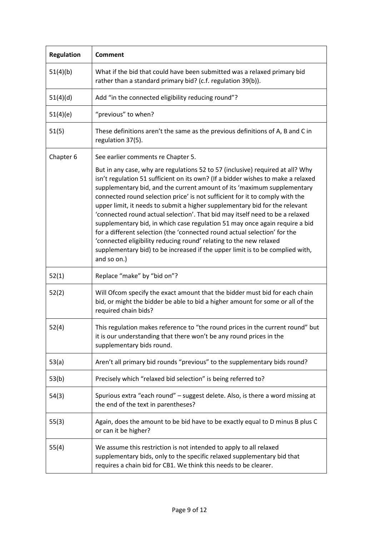| <b>Regulation</b> | <b>Comment</b>                                                                                                                                                                                                                                                                                                                                                                                                                                                                                                                                                                                                                                                                                                                                                                                                                 |
|-------------------|--------------------------------------------------------------------------------------------------------------------------------------------------------------------------------------------------------------------------------------------------------------------------------------------------------------------------------------------------------------------------------------------------------------------------------------------------------------------------------------------------------------------------------------------------------------------------------------------------------------------------------------------------------------------------------------------------------------------------------------------------------------------------------------------------------------------------------|
| 51(4)(b)          | What if the bid that could have been submitted was a relaxed primary bid<br>rather than a standard primary bid? (c.f. regulation 39(b)).                                                                                                                                                                                                                                                                                                                                                                                                                                                                                                                                                                                                                                                                                       |
| 51(4)(d)          | Add "in the connected eligibility reducing round"?                                                                                                                                                                                                                                                                                                                                                                                                                                                                                                                                                                                                                                                                                                                                                                             |
| 51(4)(e)          | "previous" to when?                                                                                                                                                                                                                                                                                                                                                                                                                                                                                                                                                                                                                                                                                                                                                                                                            |
| 51(5)             | These definitions aren't the same as the previous definitions of A, B and C in<br>regulation 37(5).                                                                                                                                                                                                                                                                                                                                                                                                                                                                                                                                                                                                                                                                                                                            |
| Chapter 6         | See earlier comments re Chapter 5.                                                                                                                                                                                                                                                                                                                                                                                                                                                                                                                                                                                                                                                                                                                                                                                             |
|                   | But in any case, why are regulations 52 to 57 (inclusive) required at all? Why<br>isn't regulation 51 sufficient on its own? (If a bidder wishes to make a relaxed<br>supplementary bid, and the current amount of its 'maximum supplementary<br>connected round selection price' is not sufficient for it to comply with the<br>upper limit, it needs to submit a higher supplementary bid for the relevant<br>'connected round actual selection'. That bid may itself need to be a relaxed<br>supplementary bid, in which case regulation 51 may once again require a bid<br>for a different selection (the 'connected round actual selection' for the<br>'connected eligibility reducing round' relating to the new relaxed<br>supplementary bid) to be increased if the upper limit is to be complied with,<br>and so on.) |
| 52(1)             | Replace "make" by "bid on"?                                                                                                                                                                                                                                                                                                                                                                                                                                                                                                                                                                                                                                                                                                                                                                                                    |
| 52(2)             | Will Ofcom specify the exact amount that the bidder must bid for each chain<br>bid, or might the bidder be able to bid a higher amount for some or all of the<br>required chain bids?                                                                                                                                                                                                                                                                                                                                                                                                                                                                                                                                                                                                                                          |
| 52(4)             | This regulation makes reference to "the round prices in the current round" but<br>it is our understanding that there won't be any round prices in the<br>supplementary bids round.                                                                                                                                                                                                                                                                                                                                                                                                                                                                                                                                                                                                                                             |
| 53(a)             | Aren't all primary bid rounds "previous" to the supplementary bids round?                                                                                                                                                                                                                                                                                                                                                                                                                                                                                                                                                                                                                                                                                                                                                      |
| 53(b)             | Precisely which "relaxed bid selection" is being referred to?                                                                                                                                                                                                                                                                                                                                                                                                                                                                                                                                                                                                                                                                                                                                                                  |
| 54(3)             | Spurious extra "each round" - suggest delete. Also, is there a word missing at<br>the end of the text in parentheses?                                                                                                                                                                                                                                                                                                                                                                                                                                                                                                                                                                                                                                                                                                          |
| 55(3)             | Again, does the amount to be bid have to be exactly equal to D minus B plus C<br>or can it be higher?                                                                                                                                                                                                                                                                                                                                                                                                                                                                                                                                                                                                                                                                                                                          |
| 55(4)             | We assume this restriction is not intended to apply to all relaxed<br>supplementary bids, only to the specific relaxed supplementary bid that<br>requires a chain bid for CB1. We think this needs to be clearer.                                                                                                                                                                                                                                                                                                                                                                                                                                                                                                                                                                                                              |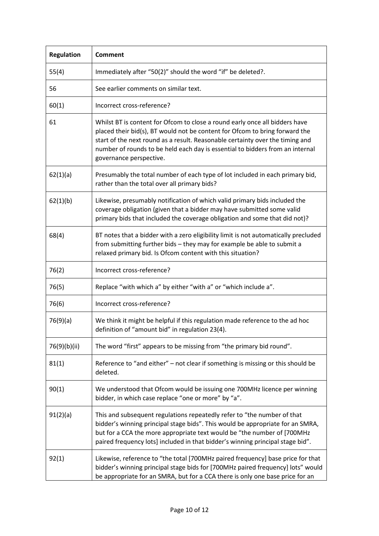| <b>Regulation</b> | <b>Comment</b>                                                                                                                                                                                                                                                                                                                                          |
|-------------------|---------------------------------------------------------------------------------------------------------------------------------------------------------------------------------------------------------------------------------------------------------------------------------------------------------------------------------------------------------|
| 55(4)             | Immediately after "50(2)" should the word "if" be deleted?.                                                                                                                                                                                                                                                                                             |
| 56                | See earlier comments on similar text.                                                                                                                                                                                                                                                                                                                   |
| 60(1)             | Incorrect cross-reference?                                                                                                                                                                                                                                                                                                                              |
| 61                | Whilst BT is content for Ofcom to close a round early once all bidders have<br>placed their bid(s), BT would not be content for Ofcom to bring forward the<br>start of the next round as a result. Reasonable certainty over the timing and<br>number of rounds to be held each day is essential to bidders from an internal<br>governance perspective. |
| 62(1)(a)          | Presumably the total number of each type of lot included in each primary bid,<br>rather than the total over all primary bids?                                                                                                                                                                                                                           |
| 62(1)(b)          | Likewise, presumably notification of which valid primary bids included the<br>coverage obligation (given that a bidder may have submitted some valid<br>primary bids that included the coverage obligation and some that did not)?                                                                                                                      |
| 68(4)             | BT notes that a bidder with a zero eligibility limit is not automatically precluded<br>from submitting further bids - they may for example be able to submit a<br>relaxed primary bid. Is Ofcom content with this situation?                                                                                                                            |
| 76(2)             | Incorrect cross-reference?                                                                                                                                                                                                                                                                                                                              |
| 76(5)             | Replace "with which a" by either "with a" or "which include a".                                                                                                                                                                                                                                                                                         |
| 76(6)             | Incorrect cross-reference?                                                                                                                                                                                                                                                                                                                              |
| 76(9)(a)          | We think it might be helpful if this regulation made reference to the ad hoc<br>definition of "amount bid" in regulation 23(4).                                                                                                                                                                                                                         |
| 76(9)(b)(ii)      | The word "first" appears to be missing from "the primary bid round".                                                                                                                                                                                                                                                                                    |
| 81(1)             | Reference to "and either" - not clear if something is missing or this should be<br>deleted.                                                                                                                                                                                                                                                             |
| 90(1)             | We understood that Ofcom would be issuing one 700MHz licence per winning<br>bidder, in which case replace "one or more" by "a".                                                                                                                                                                                                                         |
| 91(2)(a)          | This and subsequent regulations repeatedly refer to "the number of that<br>bidder's winning principal stage bids". This would be appropriate for an SMRA,<br>but for a CCA the more appropriate text would be "the number of [700MHz<br>paired frequency lots] included in that bidder's winning principal stage bid".                                  |
| 92(1)             | Likewise, reference to "the total [700MHz paired frequency] base price for that<br>bidder's winning principal stage bids for [700MHz paired frequency] lots" would<br>be appropriate for an SMRA, but for a CCA there is only one base price for an                                                                                                     |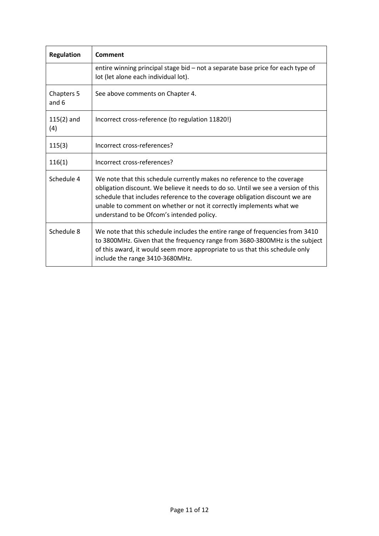| <b>Regulation</b>   | Comment                                                                                                                                                                                                                                                                                                                                                         |
|---------------------|-----------------------------------------------------------------------------------------------------------------------------------------------------------------------------------------------------------------------------------------------------------------------------------------------------------------------------------------------------------------|
|                     | entire winning principal stage bid - not a separate base price for each type of<br>lot (let alone each individual lot).                                                                                                                                                                                                                                         |
| Chapters 5<br>and 6 | See above comments on Chapter 4.                                                                                                                                                                                                                                                                                                                                |
| $115(2)$ and<br>(4) | Incorrect cross-reference (to regulation 11820!)                                                                                                                                                                                                                                                                                                                |
| 115(3)              | Incorrect cross-references?                                                                                                                                                                                                                                                                                                                                     |
| 116(1)              | Incorrect cross-references?                                                                                                                                                                                                                                                                                                                                     |
| Schedule 4          | We note that this schedule currently makes no reference to the coverage<br>obligation discount. We believe it needs to do so. Until we see a version of this<br>schedule that includes reference to the coverage obligation discount we are<br>unable to comment on whether or not it correctly implements what we<br>understand to be Ofcom's intended policy. |
| Schedule 8          | We note that this schedule includes the entire range of frequencies from 3410<br>to 3800MHz. Given that the frequency range from 3680-3800MHz is the subject<br>of this award, it would seem more appropriate to us that this schedule only<br>include the range 3410-3680MHz.                                                                                  |